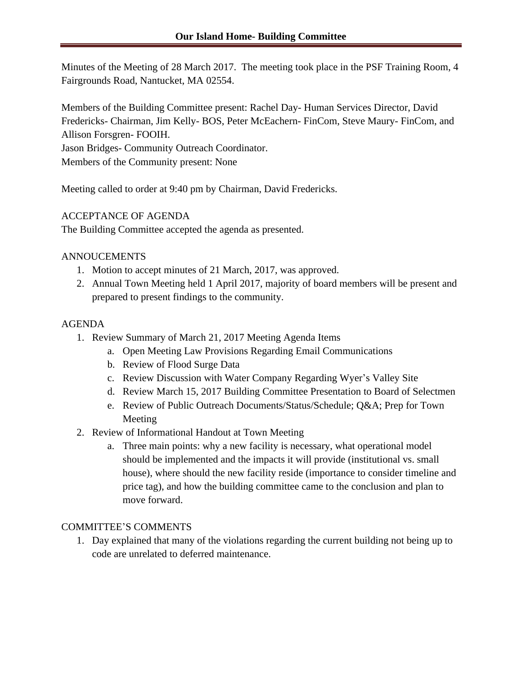Minutes of the Meeting of 28 March 2017. The meeting took place in the PSF Training Room, 4 Fairgrounds Road, Nantucket, MA 02554.

Members of the Building Committee present: Rachel Day- Human Services Director, David Fredericks- Chairman, Jim Kelly- BOS, Peter McEachern- FinCom, Steve Maury- FinCom, and Allison Forsgren- FOOIH.

Jason Bridges- Community Outreach Coordinator.

Members of the Community present: None

Meeting called to order at 9:40 pm by Chairman, David Fredericks.

## ACCEPTANCE OF AGENDA

The Building Committee accepted the agenda as presented.

## ANNOUCEMENTS

- 1. Motion to accept minutes of 21 March, 2017, was approved.
- 2. Annual Town Meeting held 1 April 2017, majority of board members will be present and prepared to present findings to the community.

## AGENDA

- 1. Review Summary of March 21, 2017 Meeting Agenda Items
	- a. Open Meeting Law Provisions Regarding Email Communications
	- b. Review of Flood Surge Data
	- c. Review Discussion with Water Company Regarding Wyer's Valley Site
	- d. Review March 15, 2017 Building Committee Presentation to Board of Selectmen
	- e. Review of Public Outreach Documents/Status/Schedule; Q&A; Prep for Town Meeting
- 2. Review of Informational Handout at Town Meeting
	- a. Three main points: why a new facility is necessary, what operational model should be implemented and the impacts it will provide (institutional vs. small house), where should the new facility reside (importance to consider timeline and price tag), and how the building committee came to the conclusion and plan to move forward.

## COMMITTEE'S COMMENTS

1. Day explained that many of the violations regarding the current building not being up to code are unrelated to deferred maintenance.